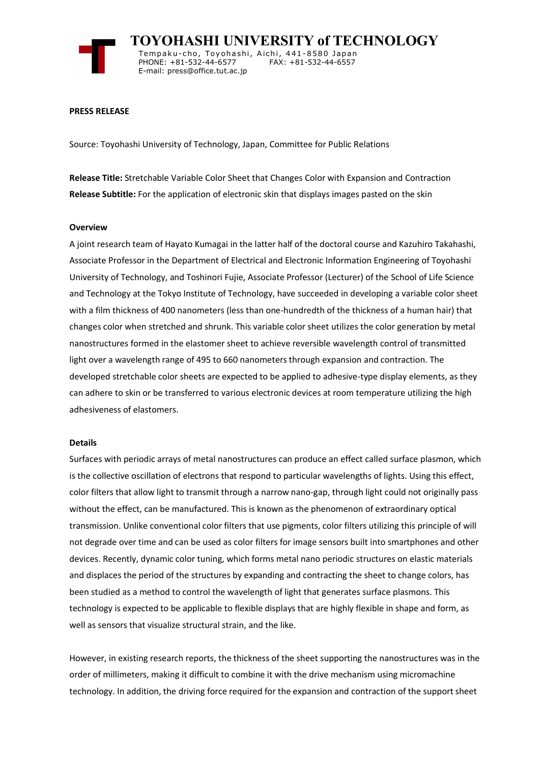

 **TOYOHASHI UNIVERSITY of TECHNOLOGY** Tempaku-cho, Toyohashi, Aichi, 441-8580 Japan<br>PHONE: +81-532-44-6577 FAX: +81-532-44-6557 PHONE: +81-532-44-6577 E-mail: press@office.tut.ac.jp

### **PRESS RELEASE**

Source: Toyohashi University of Technology, Japan, Committee for Public Relations

**Release Title:** Stretchable Variable Color Sheet that Changes Color with Expansion and Contraction **Release Subtitle:** For the application of electronic skin that displays images pasted on the skin

### **Overview**

A joint research team of Hayato Kumagai in the latter half of the doctoral course and Kazuhiro Takahashi, Associate Professor in the Department of Electrical and Electronic Information Engineering of Toyohashi University of Technology, and Toshinori Fujie, Associate Professor (Lecturer) of the School of Life Science and Technology at the Tokyo Institute of Technology, have succeeded in developing a variable color sheet with a film thickness of 400 nanometers (less than one-hundredth of the thickness of a human hair) that changes color when stretched and shrunk. This variable color sheet utilizes the color generation by metal nanostructures formed in the elastomer sheet to achieve reversible wavelength control of transmitted light over a wavelength range of 495 to 660 nanometers through expansion and contraction. The developed stretchable color sheets are expected to be applied to adhesive-type display elements, as they can adhere to skin or be transferred to various electronic devices at room temperature utilizing the high adhesiveness of elastomers.

## **Details**

Surfaces with periodic arrays of metal nanostructures can produce an effect called surface plasmon, which is the collective oscillation of electrons that respond to particular wavelengths of lights. Using this effect, color filters that allow light to transmit through a narrow nano-gap, through light could not originally pass without the effect, can be manufactured. This is known as the phenomenon of extraordinary optical transmission. Unlike conventional color filters that use pigments, color filters utilizing this principle of will not degrade over time and can be used as color filters for image sensors built into smartphones and other devices. Recently, dynamic color tuning, which forms metal nano periodic structures on elastic materials and displaces the period of the structures by expanding and contracting the sheet to change colors, has been studied as a method to control the wavelength of light that generates surface plasmons. This technology is expected to be applicable to flexible displays that are highly flexible in shape and form, as well as sensors that visualize structural strain, and the like.

However, in existing research reports, the thickness of the sheet supporting the nanostructures was in the order of millimeters, making it difficult to combine it with the drive mechanism using micromachine technology. In addition, the driving force required for the expansion and contraction of the support sheet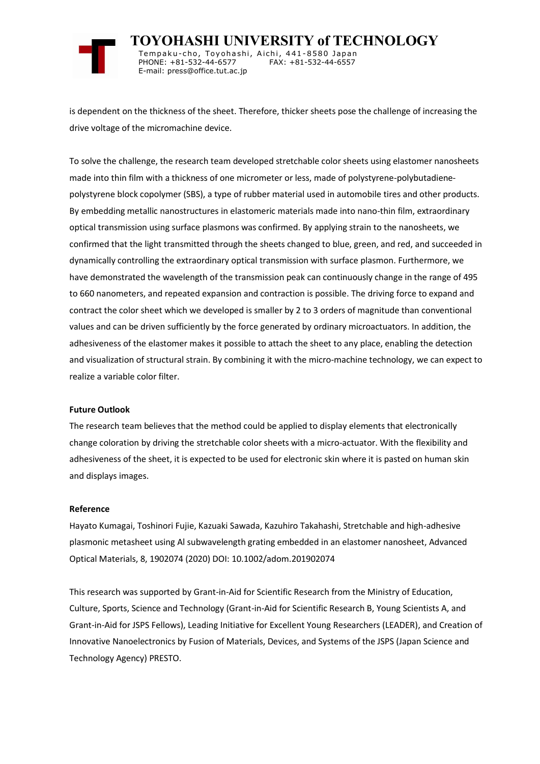

 **TOYOHASHI UNIVERSITY of TECHNOLOGY** Tempaku-cho, Toyohashi, Aichi, 441-8580 Japan<br>PHONE: +81-532-44-6577 FAX: +81-532-44-6557 PHONE: +81-532-44-6577 E-mail: press@office.tut.ac.jp

is dependent on the thickness of the sheet. Therefore, thicker sheets pose the challenge of increasing the drive voltage of the micromachine device.

To solve the challenge, the research team developed stretchable color sheets using elastomer nanosheets made into thin film with a thickness of one micrometer or less, made of polystyrene-polybutadienepolystyrene block copolymer (SBS), a type of rubber material used in automobile tires and other products. By embedding metallic nanostructures in elastomeric materials made into nano-thin film, extraordinary optical transmission using surface plasmons was confirmed. By applying strain to the nanosheets, we confirmed that the light transmitted through the sheets changed to blue, green, and red, and succeeded in dynamically controlling the extraordinary optical transmission with surface plasmon. Furthermore, we have demonstrated the wavelength of the transmission peak can continuously change in the range of 495 to 660 nanometers, and repeated expansion and contraction is possible. The driving force to expand and contract the color sheet which we developed is smaller by 2 to 3 orders of magnitude than conventional values and can be driven sufficiently by the force generated by ordinary microactuators. In addition, the adhesiveness of the elastomer makes it possible to attach the sheet to any place, enabling the detection and visualization of structural strain. By combining it with the micro-machine technology, we can expect to realize a variable color filter.

## **Future Outlook**

The research team believes that the method could be applied to display elements that electronically change coloration by driving the stretchable color sheets with a micro-actuator. With the flexibility and adhesiveness of the sheet, it is expected to be used for electronic skin where it is pasted on human skin and displays images.

#### **Reference**

Hayato Kumagai, Toshinori Fujie, Kazuaki Sawada, Kazuhiro Takahashi, Stretchable and high-adhesive plasmonic metasheet using Al subwavelength grating embedded in an elastomer nanosheet, Advanced Optical Materials, 8, 1902074 (2020) DOI: 10.1002/adom.201902074

This research was supported by Grant-in-Aid for Scientific Research from the Ministry of Education, Culture, Sports, Science and Technology (Grant-in-Aid for Scientific Research B, Young Scientists A, and Grant-in-Aid for JSPS Fellows), Leading Initiative for Excellent Young Researchers (LEADER), and Creation of Innovative Nanoelectronics by Fusion of Materials, Devices, and Systems of the JSPS (Japan Science and Technology Agency) PRESTO.